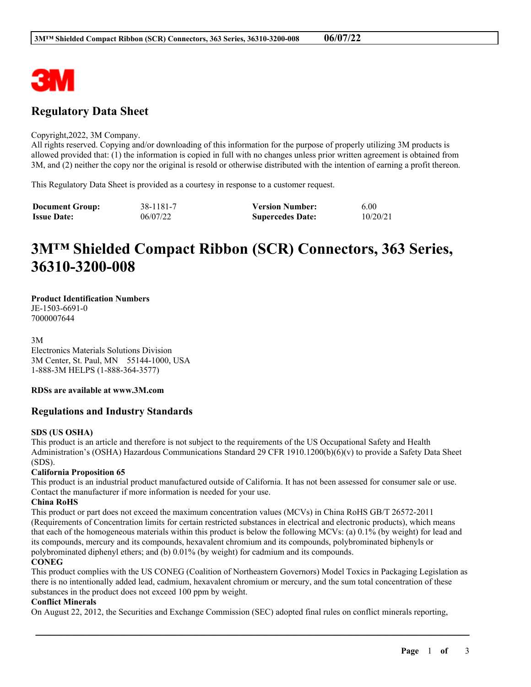

# **Regulatory Data Sheet**

#### Copyright,2022, 3M Company.

All rights reserved. Copying and/or downloading of this information for the purpose of properly utilizing 3M products is allowed provided that: (1) the information is copied in full with no changes unless prior written agreement is obtained from 3M, and (2) neither the copy nor the original is resold or otherwise distributed with the intention of earning a profit thereon.

This Regulatory Data Sheet is provided as a courtesy in response to a customer request.

| <b>Document Group:</b> | 38-1181-7 | <b>Version Number:</b>  | 6.00     |
|------------------------|-----------|-------------------------|----------|
| <b>Issue Date:</b>     | 06/07/22  | <b>Supercedes Date:</b> | 10/20/21 |

# **3M™ Shielded Compact Ribbon (SCR) Connectors, 363 Series, 36310-3200-008**

# **Product Identification Numbers**

JE-1503-6691-0 7000007644

3M

Electronics Materials Solutions Division 3M Center, St. Paul, MN 55144-1000, USA 1-888-3M HELPS (1-888-364-3577)

# **RDSs are available at www.3M.com**

# **Regulations and Industry Standards**

#### **SDS (US OSHA)**

This product is an article and therefore is not subject to the requirements of the US Occupational Safety and Health Administration's (OSHA) Hazardous Communications Standard 29 CFR 1910.1200(b)(6)(v) to provide a Safety Data Sheet (SDS).

#### **California Proposition 65**

This product is an industrial product manufactured outside of California. It has not been assessed for consumer sale or use. Contact the manufacturer if more information is needed for your use.

#### **China RoHS**

This product or part does not exceed the maximum concentration values (MCVs) in China RoHS GB/T 26572-2011 (Requirements of Concentration limits for certain restricted substances in electrical and electronic products), which means that each of the homogeneous materials within this product is below the following MCVs: (a) 0.1% (by weight) for lead and its compounds, mercury and its compounds, hexavalent chromium and its compounds, polybrominated biphenyls or polybrominated diphenyl ethers; and (b) 0.01% (by weight) for cadmium and its compounds.

#### **CONEG**

This product complies with the US CONEG (Coalition of Northeastern Governors) Model Toxics in Packaging Legislation as there is no intentionally added lead, cadmium, hexavalent chromium or mercury, and the sum total concentration of these substances in the product does not exceed 100 ppm by weight.

\_\_\_\_\_\_\_\_\_\_\_\_\_\_\_\_\_\_\_\_\_\_\_\_\_\_\_\_\_\_\_\_\_\_\_\_\_\_\_\_\_\_\_\_\_\_\_\_\_\_\_\_\_\_\_\_\_\_\_\_\_\_\_\_\_\_\_\_\_\_\_\_\_\_\_\_\_\_\_\_\_\_\_\_\_\_\_\_\_\_

#### **Conflict Minerals**

On August 22, 2012, the Securities and Exchange Commission (SEC) adopted final rules on conflict minerals reporting,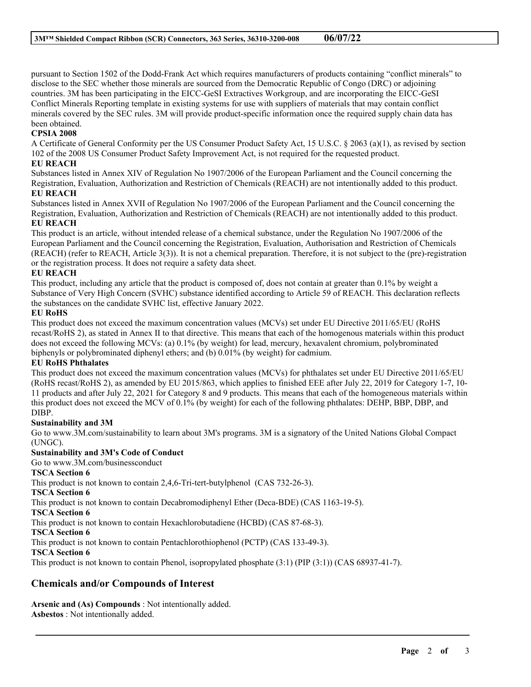pursuant to Section 1502 of the Dodd-Frank Act which requires manufacturers of products containing "conflict minerals" to disclose to the SEC whether those minerals are sourced from the Democratic Republic of Congo (DRC) or adjoining countries. 3M has been participating in the EICC-GeSI Extractives Workgroup, and are incorporating the EICC-GeSI Conflict Minerals Reporting template in existing systems for use with suppliers of materials that may contain conflict minerals covered by the SEC rules. 3M will provide product-specific information once the required supply chain data has been obtained.

## **CPSIA 2008**

A Certificate of General Conformity per the US Consumer Product Safety Act, 15 U.S.C. § 2063 (a)(1), as revised by section 102 of the 2008 US Consumer Product Safety Improvement Act, is not required for the requested product.

#### **EU REACH**

Substances listed in Annex XIV of Regulation No 1907/2006 of the European Parliament and the Council concerning the Registration, Evaluation, Authorization and Restriction of Chemicals (REACH) are not intentionally added to this product.

#### **EU REACH**

Substances listed in Annex XVII of Regulation No 1907/2006 of the European Parliament and the Council concerning the Registration, Evaluation, Authorization and Restriction of Chemicals (REACH) are not intentionally added to this product. **EU REACH**

This product is an article, without intended release of a chemical substance, under the Regulation No 1907/2006 of the European Parliament and the Council concerning the Registration, Evaluation, Authorisation and Restriction of Chemicals (REACH) (refer to REACH, Article 3(3)). It is not a chemical preparation. Therefore, it is not subject to the (pre)-registration or the registration process. It does not require a safety data sheet.

## **EU REACH**

This product, including any article that the product is composed of, does not contain at greater than 0.1% by weight a Substance of Very High Concern (SVHC) substance identified according to Article 59 of REACH. This declaration reflects the substances on the candidate SVHC list, effective January 2022.

#### **EU RoHS**

This product does not exceed the maximum concentration values (MCVs) set under EU Directive 2011/65/EU (RoHS recast/RoHS 2), as stated in Annex II to that directive. This means that each of the homogenous materials within this product does not exceed the following MCVs: (a) 0.1% (by weight) for lead, mercury, hexavalent chromium, polybrominated biphenyls or polybrominated diphenyl ethers; and (b) 0.01% (by weight) for cadmium.

# **EU RoHS Phthalates**

This product does not exceed the maximum concentration values (MCVs) for phthalates set under EU Directive 2011/65/EU (RoHS recast/RoHS 2), as amended by EU 2015/863, which applies to finished EEE after July 22, 2019 for Category 1-7, 10- 11 products and after July 22, 2021 for Category 8 and 9 products. This means that each of the homogeneous materials within this product does not exceed the MCV of 0.1% (by weight) for each of the following phthalates: DEHP, BBP, DBP, and DIBP.

# **Sustainability and 3M**

Go to www.3M.com/sustainability to learn about 3M's programs. 3M is a signatory of the United Nations Global Compact (UNGC).

\_\_\_\_\_\_\_\_\_\_\_\_\_\_\_\_\_\_\_\_\_\_\_\_\_\_\_\_\_\_\_\_\_\_\_\_\_\_\_\_\_\_\_\_\_\_\_\_\_\_\_\_\_\_\_\_\_\_\_\_\_\_\_\_\_\_\_\_\_\_\_\_\_\_\_\_\_\_\_\_\_\_\_\_\_\_\_\_\_\_

# **Sustainability and 3M's Code of Conduct**

Go to www.3M.com/businessconduct

#### **TSCA Section 6**

This product is not known to contain 2,4,6-Tri-tert-butylphenol (CAS 732-26-3).

**TSCA Section 6**

This product is not known to contain Decabromodiphenyl Ether (Deca-BDE) (CAS 1163-19-5).

**TSCA Section 6**

This product is not known to contain Hexachlorobutadiene (HCBD) (CAS 87-68-3).

**TSCA Section 6**

This product is not known to contain Pentachlorothiophenol (PCTP) (CAS 133-49-3).

#### **TSCA Section 6**

This product is not known to contain Phenol, isopropylated phosphate (3:1) (PIP (3:1)) (CAS 68937-41-7).

# **Chemicals and/or Compounds of Interest**

**Arsenic and (As) Compounds** : Not intentionally added. **Asbestos** : Not intentionally added.